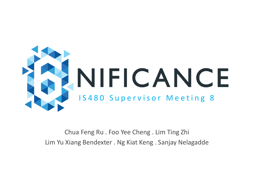

Chua Feng Ru . Foo Yee Cheng . Lim Ting Zhi Lim Yu Xiang Bendexter . Ng Kiat Keng . Sanjay Nelagadde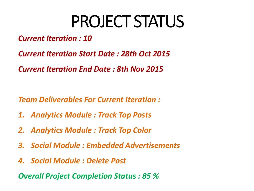## PROJECT STATUS

- *Current Iteration : 10*
- *Current Iteration Start Date : 28th Oct 2015*
- *Current Iteration End Date : 8th Nov 2015*

- *Team Deliverables For Current Iteration :*
- *1. Analytics Module : Track Top Posts*
- *2. Analytics Module : Track Top Color*
- *3. Social Module : Embedded Advertisements*
- *4. Social Module : Delete Post*

*Overall Project Completion Status : 85 %*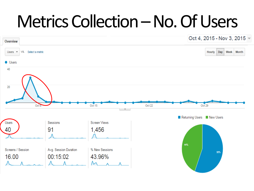## Metrics Collection – No. Of Users

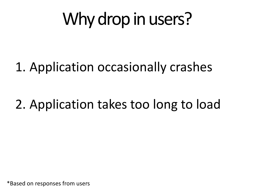# Why drop in users?

### 1. Application occasionally crashes

### 2. Application takes too long to load

\*Based on responses from users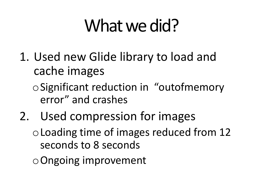# What we did?

1. Used new Glide library to load and cache images

oSignificant reduction in "outofmemory error" and crashes

2. Used compression for images

oLoading time of images reduced from 12 seconds to 8 seconds

oOngoing improvement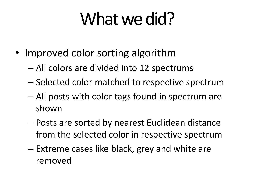# What we did?

- Improved color sorting algorithm
	- All colors are divided into 12 spectrums
	- Selected color matched to respective spectrum
	- All posts with color tags found in spectrum are shown
	- Posts are sorted by nearest Euclidean distance from the selected color in respective spectrum
	- Extreme cases like black, grey and white are removed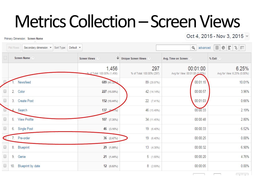# Metrics Collection –Screen Views

Primary Dimension: Screen Name

Oct 4, 2015 - Nov 3, 2015 -

|                      | 囲<br>$\mathbb O$<br>Ε<br>生 師 <br>Q advanced<br>Plot Rows<br>Secondary dimension v Sort Type:<br>Default $\blacktriangledown$ |                     |                                      |                                         |                                            |                                      |
|----------------------|------------------------------------------------------------------------------------------------------------------------------|---------------------|--------------------------------------|-----------------------------------------|--------------------------------------------|--------------------------------------|
| $\Box$               |                                                                                                                              | Screen Name (?)     | Screen Views ?                       | $\mathbf{\Psi}$ Unique Screen Views (?) | Avg. Time on Screen ?                      | % Exit (?)                           |
|                      |                                                                                                                              |                     | 1,456<br>% of Total: 100.00% (1,456) | 297<br>% of Total: 100.00% (297)        | 00:01:00<br>Avg for View: 00:01:00 (0.00%) | 6.25%<br>Avg for View: 6.25% (0.00%) |
|                      |                                                                                                                              | Newsfeed            | 689 (47.32)                          | 89 (29.97%)                             | 00:01:15                                   | 10.01%                               |
| $\cup$               | 2.                                                                                                                           | Color               | 227 (15.59%)                         | 42 (14.14%)                             | 00:00:57                                   | 3.96%                                |
| $\Box$               |                                                                                                                              | 3. Create Post      | 152 (10.44%)                         | 22 (7.41%)                              | 00:01:03                                   | 0.66%                                |
|                      |                                                                                                                              | Search              | $137 + 19 + 19$                      | 46 (15.49%)                             | 00:00:33                                   | 2.19%                                |
| $\Box$               | 5.                                                                                                                           | <b>View Profile</b> | 107 (7.35%)                          | 34 (11.45%)                             | 00:00:48                                   | 2.80%                                |
| $\Box$               |                                                                                                                              | 6. Single Post      | 46 (3.16%)                           | 19 (6.40%)                              | 00:00:33                                   | 6.52%                                |
|                      |                                                                                                                              | 7. Pre-order        | $36$ (2.47%)                         | 19 (6.40%)                              | 00:00:25                                   | 0.00%                                |
| $\Box$               | 8.                                                                                                                           | Blueprint           | 29 (1.99%)                           | 13 (4.38%)                              | 00:00:32                                   | 6.90%                                |
| $\Box$               | 9.                                                                                                                           | Genie               | $21$ (1.44%)                         | 5(1.68%)                                | 00:00:20                                   | 4.76%                                |
| 0                    | 10.                                                                                                                          | Blueprint by date   | 12 $(0.82%)$                         | 8 (2.69%)                               | 00:00:05                                   | 0.00%                                |
| $\sim$ $\sim$ $\sim$ |                                                                                                                              |                     |                                      |                                         |                                            |                                      |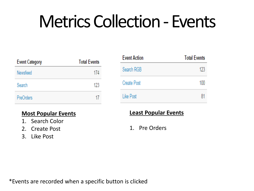# Metrics Collection - Events

| <b>Event Category</b> | <b>Total Events</b> |  |  |
|-----------------------|---------------------|--|--|
| Newsfeed              | 174                 |  |  |
| Search                | 123                 |  |  |
| <b>PreOrders</b>      | 17                  |  |  |

#### **Most Popular Events**

- 1. Search Color
- 2. Create Post
- 3. Like Post

| <b>Event Action</b> | <b>Total Events</b> |  |  |
|---------------------|---------------------|--|--|
| Search RGB          | 123                 |  |  |
| <b>Create Post</b>  | 100                 |  |  |
| Like Post           | 81                  |  |  |

#### **Least Popular Events**

1. Pre Orders

\*Events are recorded when a specific button is clicked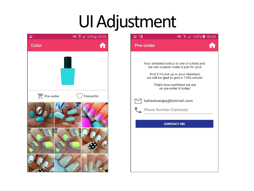# UI Adjustment



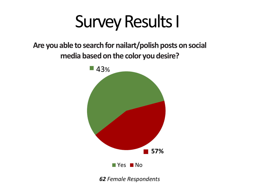## Survey Results I

**Are you able to search for nailart/polish posts on social media based on the color you desire?**



*62 Female Respondents*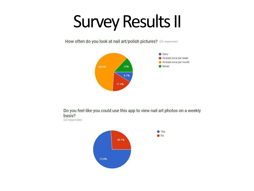# Survey Results II

How often do you look at nail art/polish pictures? (23 responses)



Do you feel like you could use this app to view nail art photos on a weekly basis? (23 responses)

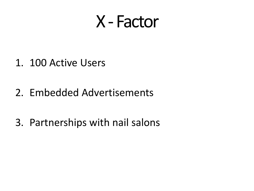## X - Factor

- 1. 100 Active Users
- 2. Embedded Advertisements
- 3. Partnerships with nail salons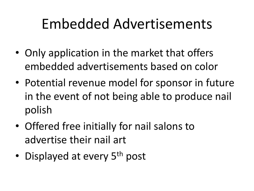## Embedded Advertisements

- Only application in the market that offers embedded advertisements based on color
- Potential revenue model for sponsor in future in the event of not being able to produce nail polish
- Offered free initially for nail salons to advertise their nail art
- Displayed at every 5<sup>th</sup> post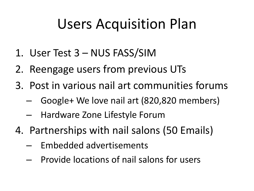## Users Acquisition Plan

- 1. User Test 3 NUS FASS/SIM
- 2. Reengage users from previous UTs
- 3. Post in various nail art communities forums
	- Google+ We love nail art (820,820 members)
	- Hardware Zone Lifestyle Forum
- 4. Partnerships with nail salons (50 Emails)
	- Embedded advertisements
	- Provide locations of nail salons for users